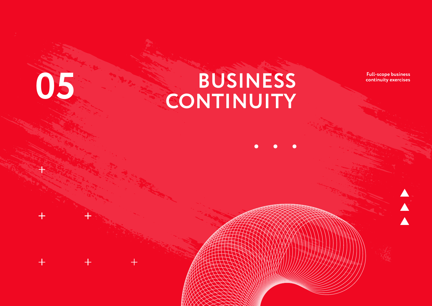## **BUSINESS 05 CONTINUITY**

**Full-scope business continuity exercises**

 $\blacktriangle$